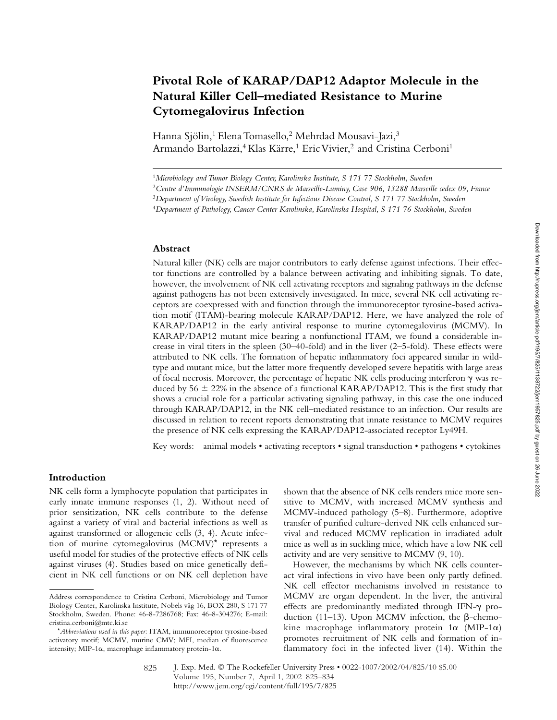# **Pivotal Role of KARAP/DAP12 Adaptor Molecule in the Natural Killer Cell–mediated Resistance to Murine Cytomegalovirus Infection**

Hanna Sjölin,<sup>1</sup> Elena Tomasello,<sup>2</sup> Mehrdad Mousavi-Jazi,<sup>3</sup> Armando Bartolazzi,<sup>4</sup> Klas Kärre,<sup>1</sup> Eric Vivier,<sup>2</sup> and Cristina Cerboni<sup>1</sup>

### **Abstract**

Natural killer (NK) cells are major contributors to early defense against infections. Their effector functions are controlled by a balance between activating and inhibiting signals. To date, however, the involvement of NK cell activating receptors and signaling pathways in the defense against pathogens has not been extensively investigated. In mice, several NK cell activating receptors are coexpressed with and function through the immunoreceptor tyrosine-based activation motif (ITAM)-bearing molecule KARAP/DAP12. Here, we have analyzed the role of KARAP/DAP12 in the early antiviral response to murine cytomegalovirus (MCMV). In KARAP/DAP12 mutant mice bearing a nonfunctional ITAM, we found a considerable increase in viral titers in the spleen (30–40-fold) and in the liver (2–5-fold). These effects were attributed to NK cells. The formation of hepatic inflammatory foci appeared similar in wildtype and mutant mice, but the latter more frequently developed severe hepatitis with large areas of focal necrosis. Moreover, the percentage of hepatic NK cells producing interferon  $\gamma$  was reduced by  $56 \pm 22\%$  in the absence of a functional KARAP/DAP12. This is the first study that shows a crucial role for a particular activating signaling pathway, in this case the one induced through KARAP/DAP12, in the NK cell–mediated resistance to an infection. Our results are discussed in relation to recent reports demonstrating that innate resistance to MCMV requires the presence of NK cells expressing the KARAP/DAP12-associated receptor Ly49H.

Key words: animal models • activating receptors • signal transduction • pathogens • cytokines

# **Introduction**

NK cells form a lymphocyte population that participates in early innate immune responses (1, 2). Without need of prior sensitization, NK cells contribute to the defense against a variety of viral and bacterial infections as well as against transformed or allogeneic cells (3, 4). Acute infection of murine cytomegalovirus (MCMV)\* represents a useful model for studies of the protective effects of NK cells against viruses (4). Studies based on mice genetically deficient in NK cell functions or on NK cell depletion have

shown that the absence of NK cells renders mice more sensitive to MCMV, with increased MCMV synthesis and MCMV-induced pathology (5–8). Furthermore, adoptive transfer of purified culture-derived NK cells enhanced survival and reduced MCMV replication in irradiated adult mice as well as in suckling mice, which have a low NK cell activity and are very sensitive to MCMV (9, 10).

However, the mechanisms by which NK cells counteract viral infections in vivo have been only partly defined. NK cell effector mechanisms involved in resistance to MCMV are organ dependent. In the liver, the antiviral effects are predominantly mediated through IFN- $\gamma$  production (11–13). Upon MCMV infection, the  $\beta$ -chemokine macrophage inflammatory protein  $1\alpha$  (MIP-1 $\alpha$ ) promotes recruitment of NK cells and formation of inflammatory foci in the infected liver (14). Within the

<sup>1</sup>*Microbiology and Tumor Biology Center, Karolinska Institute, S 171 77 Stockholm, Sweden*

<sup>2</sup>*Centre d'Immunologie INSERM/CNRS de Marseille-Luminy, Case 906, 13288 Marseille cedex 09, France*

<sup>3</sup>*Department of Virology, Swedish Institute for Infectious Disease Control, S 171 77 Stockholm, Sweden*

<sup>4</sup>*Department of Pathology, Cancer Center Karolinska, Karolinska Hospital, S 171 76 Stockholm, Sweden*

Address correspondence to Cristina Cerboni, Microbiology and Tumor Biology Center, Karolinska Institute, Nobels väg 16, BOX 280, S 171 77 Stockholm, Sweden. Phone: 46-8-7286768; Fax: 46-8-304276; E-mail: cristina.cerboni@mtc.ki.se

<sup>\*</sup>*Abbreviations used in this paper:* ITAM, immunoreceptor tyrosine-based activatory motif; MCMV, murine CMV; MFI, median of fluorescence intensity; MIP-1 $\alpha$ , macrophage inflammatory protein-1 $\alpha$ .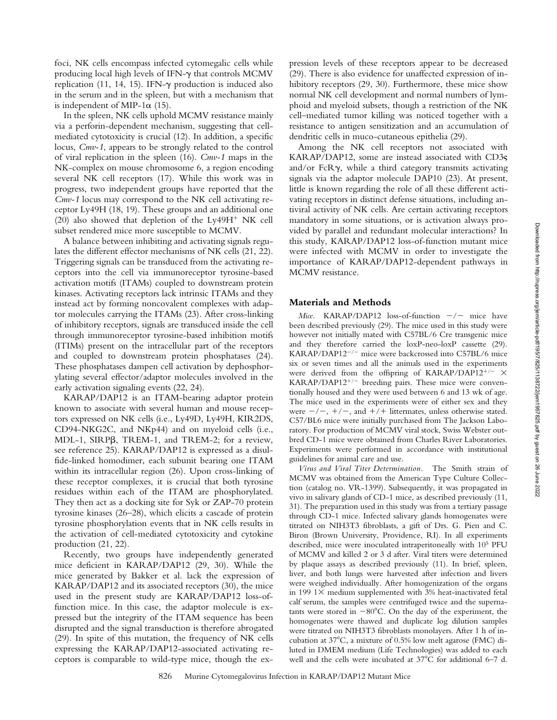foci, NK cells encompass infected cytomegalic cells while producing local high levels of IFN- $\gamma$  that controls MCMV replication (11, 14, 15). IFN-y production is induced also in the serum and in the spleen, but with a mechanism that is independent of MIP-1 $\alpha$  (15).

In the spleen, NK cells uphold MCMV resistance mainly via a perforin-dependent mechanism, suggesting that cellmediated cytotoxicity is crucial (12). In addition, a specific locus, *Cmv-1*, appears to be strongly related to the control of viral replication in the spleen (16). *Cmv-1* maps in the NK-complex on mouse chromosome 6, a region encoding several NK cell receptors (17). While this work was in progress, two independent groups have reported that the *Cmv-1* locus may correspond to the NK cell activating receptor Ly49H (18, 19). These groups and an additional one (20) also showed that depletion of the  $Ly49H<sup>+</sup> N K$  cell subset rendered mice more susceptible to MCMV.

A balance between inhibiting and activating signals regulates the different effector mechanisms of NK cells (21, 22). Triggering signals can be transduced from the activating receptors into the cell via immunoreceptor tyrosine-based activation motifs (ITAMs) coupled to downstream protein kinases. Activating receptors lack intrinsic ITAMs and they instead act by forming noncovalent complexes with adaptor molecules carrying the ITAMs (23). After cross-linking of inhibitory receptors, signals are transduced inside the cell through immunoreceptor tyrosine-based inhibition motifs (ITIMs) present on the intracellular part of the receptors and coupled to downstream protein phosphatases (24). These phosphatases dampen cell activation by dephosphorylating several effector/adaptor molecules involved in the early activation signaling events (22, 24).

KARAP/DAP12 is an ITAM-bearing adaptor protein known to associate with several human and mouse receptors expressed on NK cells (i.e., Ly49D, Ly49H, KIR2DS, CD94-NKG2C, and NKp44) and on myeloid cells (i.e., MDL-1, SIRP $\beta$ , TREM-1, and TREM-2; for a review, see reference 25). KARAP/DAP12 is expressed as a disulfide-linked homodimer, each subunit bearing one ITAM within its intracellular region (26). Upon cross-linking of these receptor complexes, it is crucial that both tyrosine residues within each of the ITAM are phosphorylated. They then act as a docking site for Syk or ZAP-70 protein tyrosine kinases (26–28), which elicits a cascade of protein tyrosine phosphorylation events that in NK cells results in the activation of cell-mediated cytotoxicity and cytokine production (21, 22).

Recently, two groups have independently generated mice deficient in KARAP/DAP12 (29, 30). While the mice generated by Bakker et al. lack the expression of KARAP/DAP12 and its associated receptors (30), the mice used in the present study are KARAP/DAP12 loss-offunction mice. In this case, the adaptor molecule is expressed but the integrity of the ITAM sequence has been disrupted and the signal transduction is therefore abrogated (29). In spite of this mutation, the frequency of NK cells expressing the KARAP/DAP12-associated activating receptors is comparable to wild-type mice, though the expression levels of these receptors appear to be decreased (29). There is also evidence for unaffected expression of inhibitory receptors (29, 30). Furthermore, these mice show normal NK cell development and normal numbers of lymphoid and myeloid subsets, though a restriction of the NK cell–mediated tumor killing was noticed together with a resistance to antigen sensitization and an accumulation of dendritic cells in muco-cutaneous epithelia (29).

Among the NK cell receptors not associated with KARAP/DAP12, some are instead associated with CD3 and/or FcRy, while a third category transmits activating signals via the adaptor molecule DAP10 (23). At present, little is known regarding the role of all these different activating receptors in distinct defense situations, including antiviral activity of NK cells. Are certain activating receptors mandatory in some situations, or is activation always provided by parallel and redundant molecular interactions? In this study, KARAP/DAP12 loss-of-function mutant mice were infected with MCMV in order to investigate the importance of KARAP/DAP12-dependent pathways in MCMV resistance.

## **Materials and Methods**

*Mice.* KARAP/DAP12 loss-of-function  $-/-$  mice have been described previously (29). The mice used in this study were however not initially mated with C57BL/6 Cre transgenic mice and they therefore carried the loxP-neo-loxP cassette (29). KARAP/DAP12<sup>-/-</sup> mice were backcrossed into C57BL/6 mice six or seven times and all the animals used in the experiments were derived from the offspring of KARAP/DAP12<sup>+/-</sup>  $\times$  $KARAP/DAP12^{+/}$  breeding pairs. These mice were conventionally housed and they were used between 6 and 13 wk of age. The mice used in the experiments were of either sex and they were  $-/-$ ,  $+/-$ , and  $+/-$  littermates, unless otherwise stated. C57/BL6 mice were initially purchased from The Jackson Laboratory. For production of MCMV viral stock, Swiss Webster outbred CD-1 mice were obtained from Charles River Laboratories. Experiments were performed in accordance with institutional guidelines for animal care and use.

*Virus and Viral Titer Determination.* The Smith strain of MCMV was obtained from the American Type Culture Collection (catalog no. VR-1399). Subsequently, it was propagated in vivo in salivary glands of CD-1 mice, as described previously (11, 31). The preparation used in this study was from a tertiary passage through CD-1 mice. Infected salivary glands homogenates were titrated on NIH3T3 fibroblasts, a gift of Drs. G. Pien and C. Biron (Brown University, Providence, RI). In all experiments described, mice were inoculated intraperitoneally with 105 PFU of MCMV and killed 2 or 3 d after. Viral titers were determined by plaque assays as described previously (11). In brief, spleen, liver, and both lungs were harvested after infection and livers were weighed individually. After homogenization of the organs in 199  $1\times$  medium supplemented with 3% heat-inactivated fetal calf serum, the samples were centrifuged twice and the supernatants were stored in  $-80^{\circ}$ C. On the day of the experiment, the homogenates were thawed and duplicate log dilution samples were titrated on NIH3T3 fibroblasts monolayers. After 1 h of incubation at 37 C, a mixture of 0.5% low melt agarose (FMC) diluted in DMEM medium (Life Technologies) was added to each well and the cells were incubated at 37 C for additional 6–7 d.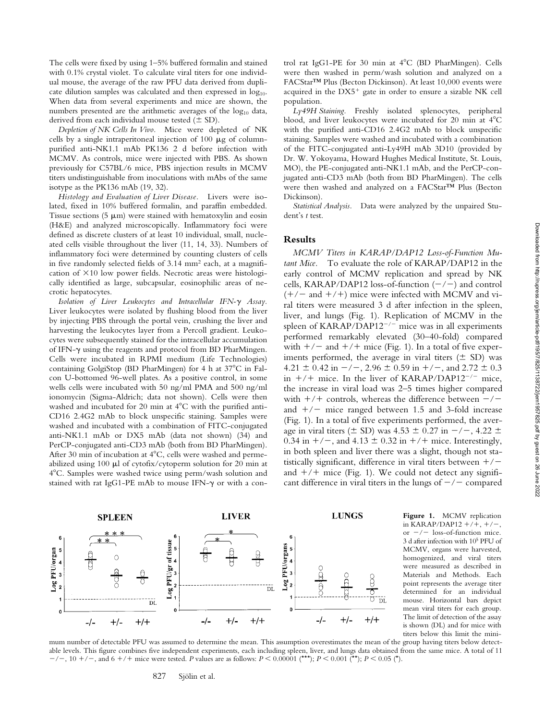The cells were fixed by using 1–5% buffered formalin and stained with 0.1% crystal violet. To calculate viral titers for one individual mouse, the average of the raw PFU data derived from duplicate dilution samples was calculated and then expressed in  $log_{10}$ . When data from several experiments and mice are shown, the numbers presented are the arithmetic averages of the  $log_{10}$  data, derived from each individual mouse tested  $(\pm SD)$ .

*Depletion of NK Cells In Vivo.* Mice were depleted of NK cells by a single intraperitoneal injection of  $100 \mu g$  of columnpurified anti-NK1.1 mAb PK136 2 d before infection with MCMV. As controls, mice were injected with PBS. As shown previously for C57BL/6 mice, PBS injection results in MCMV titers undistinguishable from inoculations with mAbs of the same isotype as the PK136 mAb (19, 32).

*Histology and Evaluation of Liver Disease.* Livers were isolated, fixed in 10% buffered formalin, and paraffin embedded. Tissue sections (5  $\mu$ m) were stained with hematoxylin and eosin (H&E) and analyzed microscopically. Inflammatory foci were defined as discrete clusters of at least 10 individual, small, nucleated cells visible throughout the liver (11, 14, 33). Numbers of inflammatory foci were determined by counting clusters of cells in five randomly selected fields of 3.14 mm2 each, at a magnification of  $\times 10$  low power fields. Necrotic areas were histologically identified as large, subcapsular, eosinophilic areas of necrotic hepatocytes.

Isolation of Liver Leukocytes and Intracellular IFN- $\gamma$  Assay. Liver leukocytes were isolated by flushing blood from the liver by injecting PBS through the portal vein, crushing the liver and harvesting the leukocytes layer from a Percoll gradient. Leukocytes were subsequently stained for the intracellular accumulation of IFN-y using the reagents and protocol from BD PharMingen. Cells were incubated in RPMI medium (Life Technologies) containing GolgiStop (BD PharMingen) for 4 h at 37 C in Falcon U-bottomed 96-well plates. As a positive control, in some wells cells were incubated with 50 ng/ml PMA and 500 ng/ml ionomycin (Sigma-Aldrich; data not shown). Cells were then washed and incubated for 20 min at 4 C with the purified anti-CD16 2.4G2 mAb to block unspecific staining. Samples were washed and incubated with a combination of FITC-conjugated anti-NK1.1 mAb or DX5 mAb (data not shown) (34) and PerCP-conjugated anti-CD3 mAb (both from BD PharMingen). After 30 min of incubation at 4 C, cells were washed and permeabilized using 100  $\mu$ l of cytofix/cytoperm solution for 20 min at 4 C. Samples were washed twice using perm/wash solution and stained with rat IgG1-PE mAb to mouse IFN- $\gamma$  or with a control rat IgG1-PE for 30 min at 4 C (BD PharMingen). Cells were then washed in perm/wash solution and analyzed on a FACStar™ Plus (Becton Dickinson). At least 10,000 events were acquired in the  $DX5<sup>+</sup>$  gate in order to ensure a sizable NK cell population.

*Ly49H Staining.* Freshly isolated splenocytes, peripheral blood, and liver leukocytes were incubated for 20 min at 4 C with the purified anti-CD16 2.4G2 mAb to block unspecific staining. Samples were washed and incubated with a combination of the FITC-conjugated anti-Ly49H mAb 3D10 (provided by Dr. W. Yokoyama, Howard Hughes Medical Institute, St. Louis, MO), the PE-conjugated anti-NK1.1 mAb, and the PerCP-conjugated anti-CD3 mAb (both from BD PharMingen). The cells were then washed and analyzed on a FACStar™ Plus (Becton Dickinson).

*Statistical Analysis.* Data were analyzed by the unpaired Student's *t* test.

# **Results**

*MCMV Titers in KARAP/DAP12 Loss-of-Function Mutant Mice.* To evaluate the role of KARAP/DAP12 in the early control of MCMV replication and spread by NK cells, KARAP/DAP12 loss-of-function  $(-/-)$  and control  $(+/-$  and  $+/-$ ) mice were infected with MCMV and viral titers were measured 3 d after infection in the spleen, liver, and lungs (Fig. 1). Replication of MCMV in the spleen of KARAP/DAP12 $^{-/-}$  mice was in all experiments performed remarkably elevated (30–40-fold) compared with  $+/-$  and  $+/+$  mice (Fig. 1). In a total of five experiments performed, the average in viral titers  $(\pm SD)$  was  $4.21 \pm 0.42$  in  $-/-$ ,  $2.96 \pm 0.59$  in  $+/-$ , and  $2.72 \pm 0.3$ in  $+/+$  mice. In the liver of KARAP/DAP12<sup>-/-</sup> mice, the increase in viral load was 2–5 times higher compared with  $+/+$  controls, whereas the difference between  $-/$ and  $+/-$  mice ranged between 1.5 and 3-fold increase (Fig. 1). In a total of five experiments performed, the average in viral titers ( $\pm$  SD) was 4.53  $\pm$  0.27 in  $-/-$ , 4.22  $\pm$ 0.34 in  $+/-$ , and 4.13  $\pm$  0.32 in  $+/-$  mice. Interestingly, in both spleen and liver there was a slight, though not statistically significant, difference in viral titers between  $+/$ and  $+/+$  mice (Fig. 1). We could not detect any significant difference in viral titers in the lungs of  $-\prime$  compared



**Figure 1.** MCMV replication in KARAP/DAP12  $+/+, +/-,$ or  $-\prime$  loss-of-function mice. 3 d after infection with 105 PFU of MCMV, organs were harvested, homogenized, and viral titers were measured as described in Materials and Methods. Each point represents the average titer determined for an individual mouse. Horizontal bars depict mean viral titers for each group. The limit of detection of the assay is shown (DL) and for mice with titers below this limit the mini-

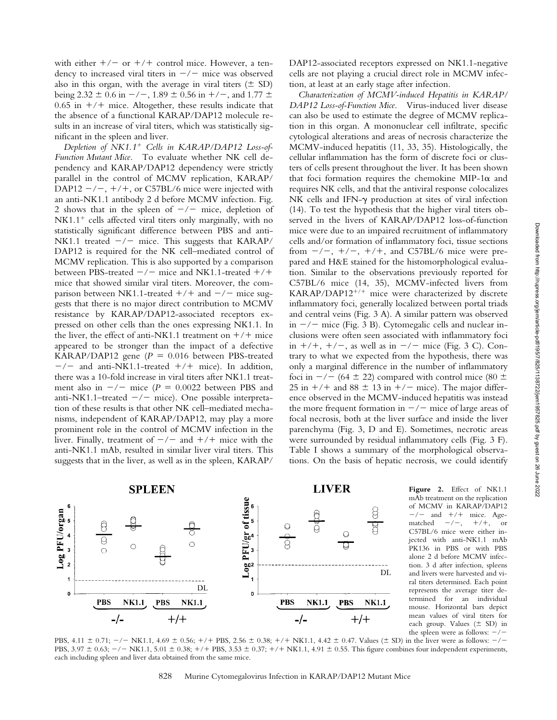with either  $+/-$  or  $+/-$  control mice. However, a tendency to increased viral titers in  $-/-$  mice was observed also in this organ, with the average in viral titers  $(\pm SD)$ being 2.32  $\pm$  0.6 in  $-/-$ , 1.89  $\pm$  0.56 in  $+/-$ , and 1.77  $\pm$  $0.65$  in  $+/+$  mice. Altogether, these results indicate that the absence of a functional KARAP/DAP12 molecule results in an increase of viral titers, which was statistically significant in the spleen and liver.

*Depletion of NK1.1 Cells in KARAP/DAP12 Loss-of-Function Mutant Mice.* To evaluate whether NK cell dependency and KARAP/DAP12 dependency were strictly parallel in the control of MCMV replication, KARAP/ DAP12  $-/-$ ,  $+/+$ , or C57BL/6 mice were injected with an anti-NK1.1 antibody 2 d before MCMV infection. Fig. 2 shows that in the spleen of  $-/-$  mice, depletion of  $NK1.1<sup>+</sup>$  cells affected viral titers only marginally, with no statistically significant difference between PBS and anti-NK1.1 treated  $-/-$  mice. This suggests that KARAP/ DAP12 is required for the NK cell–mediated control of MCMV replication. This is also supported by a comparison between PBS-treated  $-/-$  mice and NK1.1-treated  $+/+$ mice that showed similar viral titers. Moreover, the comparison between NK1.1-treated  $+/+$  and  $-/-$  mice suggests that there is no major direct contribution to MCMV resistance by KARAP/DAP12-associated receptors expressed on other cells than the ones expressing NK1.1. In the liver, the effect of anti-NK1.1 treatment on  $+/+$  mice appeared to be stronger than the impact of a defective KARAP/DAP12 gene  $(P = 0.016$  between PBS-treated  $-\prime$  and anti-NK1.1-treated  $+/+$  mice). In addition, there was a 10-fold increase in viral titers after NK1.1 treatment also in  $-/-$  mice ( $P = 0.0022$  between PBS and anti-NK1.1–treated  $-/-$  mice). One possible interpretation of these results is that other NK cell–mediated mechanisms, independent of KARAP/DAP12, may play a more prominent role in the control of MCMV infection in the liver. Finally, treatment of  $-/-$  and  $+/+$  mice with the anti-NK1.1 mAb, resulted in similar liver viral titers. This suggests that in the liver, as well as in the spleen, KARAP/

DAP12-associated receptors expressed on NK1.1-negative cells are not playing a crucial direct role in MCMV infection, at least at an early stage after infection.

*Characterization of MCMV-induced Hepatitis in KARAP/ DAP12 Loss-of-Function Mice.* Virus-induced liver disease can also be used to estimate the degree of MCMV replication in this organ. A mononuclear cell infiltrate, specific cytological alterations and areas of necrosis characterize the MCMV-induced hepatitis (11, 33, 35). Histologically, the cellular inflammation has the form of discrete foci or clusters of cells present throughout the liver. It has been shown that foci formation requires the chemokine MIP-1 $\alpha$  and requires NK cells, and that the antiviral response colocalizes NK cells and IFN-y production at sites of viral infection (14). To test the hypothesis that the higher viral titers observed in the livers of KARAP/DAP12 loss-of-function mice were due to an impaired recruitment of inflammatory cells and/or formation of inflammatory foci, tissue sections from  $-\prime$ ,  $+/-$ ,  $+/-$ , and C57BL/6 mice were prepared and H&E stained for the histomorphological evaluation. Similar to the observations previously reported for C57BL/6 mice (14, 35), MCMV-infected livers from  $KARAP/DAP12^{+/+}$  mice were characterized by discrete inflammatory foci, generally localized between portal triads and central veins (Fig. 3 A). A similar pattern was observed in  $-/-$  mice (Fig. 3 B). Cytomegalic cells and nuclear inclusions were often seen associated with inflammatory foci in  $+/+, +/-$ , as well as in  $-/-$  mice (Fig. 3 C). Contrary to what we expected from the hypothesis, there was only a marginal difference in the number of inflammatory foci in  $-/-$  (64  $\pm$  22) compared with control mice (80  $\pm$  $25$  in  $+/+$  and  $88 \pm 13$  in  $+/-$  mice). The major difference observed in the MCMV-induced hepatitis was instead the more frequent formation in  $-/-$  mice of large areas of focal necrosis, both at the liver surface and inside the liver parenchyma (Fig. 3, D and E). Sometimes, necrotic areas were surrounded by residual inflammatory cells (Fig. 3 F). Table I shows a summary of the morphological observations. On the basis of hepatic necrosis, we could identify



**Figure 2.** Effect of NK1.1 mAb treatment on the replication of MCMV in KARAP/DAP12  $-/-$  and  $+/-$  mice. Age-<br>matched  $-/-$ ,  $+/+$ , or matched  $-/-$ ,  $+/+$ , or C57BL/6 mice were either injected with anti-NK1.1 mAb PK136 in PBS or with PBS alone 2 d before MCMV infection. 3 d after infection, spleens and livers were harvested and viral titers determined. Each point represents the average titer determined for an individual mouse. Horizontal bars depict mean values of viral titers for each group. Values  $(\pm$  SD) in the spleen were as follows:  $-/-$ 

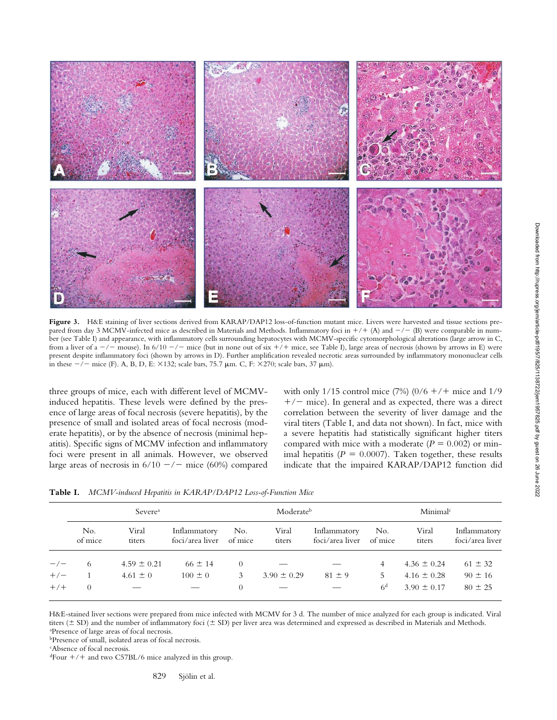

Figure 3. H&E staining of liver sections derived from KARAP/DAP12 loss-of-function mutant mice. Livers were harvested and tissue sections prepared from day 3 MCMV-infected mice as described in Materials and Methods. Inflammatory foci in  $+/+$  (A) and  $-/-$  (B) were comparable in number (see Table I) and appearance, with inflammatory cells surrounding hepatocytes with MCMV-specific cytomorphological alterations (large arrow in C, from a liver of a  $-/-$  mouse). In 6/10  $-/-$  mice (but in none out of six  $+/+$  mice, see Table I), large areas of necrosis (shown by arrows in E) were present despite inflammatory foci (shown by arrows in D). Further amplification revealed necrotic areas surrounded by inflammatory mononuclear cells in these  $-/-$  mice (F). A, B, D, E:  $\times$ 132; scale bars, 75.7  $\mu$ m. C, F:  $\times$ 270; scale bars, 37  $\mu$ m).

three groups of mice, each with different level of MCMVinduced hepatitis. These levels were defined by the presence of large areas of focal necrosis (severe hepatitis), by the presence of small and isolated areas of focal necrosis (moderate hepatitis), or by the absence of necrosis (minimal hepatitis). Specific signs of MCMV infection and inflammatory foci were present in all animals. However, we observed large areas of necrosis in  $6/10 - / -$  mice (60%) compared with only 1/15 control mice  $(7%) (0/6 +/+$  mice and 1/9  $+/-$  mice). In general and as expected, there was a direct correlation between the severity of liver damage and the viral titers (Table I, and data not shown). In fact, mice with a severe hepatitis had statistically significant higher titers compared with mice with a moderate  $(P = 0.002)$  or minimal hepatitis  $(P = 0.0007)$ . Taken together, these results indicate that the impaired KARAP/DAP12 function did

**Table I.** *MCMV-induced Hepatitis in KARAP/DAP12 Loss-of-Function Mice*

|        | Severe <sup>a</sup> |                 |                                 | Moderateb      |                 |                                 | Minimal <sup>c</sup> |                 |                                 |
|--------|---------------------|-----------------|---------------------------------|----------------|-----------------|---------------------------------|----------------------|-----------------|---------------------------------|
|        | No.<br>of mice      | Viral<br>titers | Inflammatory<br>foci/area liver | No.<br>of mice | Viral<br>titers | Inflammatory<br>foci/area liver | No.<br>of mice       | Viral<br>titers | Inflammatory<br>foci/area liver |
| $-\/-$ | 6                   | $4.59 \pm 0.21$ | $66 \pm 14$                     | $\theta$       |                 |                                 | 4                    | $4.36 \pm 0.24$ | $61 \pm 32$                     |
| $+/-$  |                     | $4.61 \pm 0$    | $100 \pm 0$                     | 3              | $3.90 \pm 0.29$ | $81 \pm 9$                      | 5.                   | $4.16 \pm 0.28$ | $90 \pm 16$                     |
| $+/-$  | $\theta$            |                 |                                 | 0              |                 |                                 | 6 <sup>d</sup>       | $3.90 \pm 0.17$ | $80 \pm 25$                     |

H&E-stained liver sections were prepared from mice infected with MCMV for 3 d. The number of mice analyzed for each group is indicated. Viral titers ( $\pm$  SD) and the number of inflammatory foci ( $\pm$  SD) per liver area was determined and expressed as described in Materials and Methods. a Presence of large areas of focal necrosis.

bPresence of small, isolated areas of focal necrosis.

c Absence of focal necrosis.

 $d$ Four  $+/+$  and two C57BL/6 mice analyzed in this group.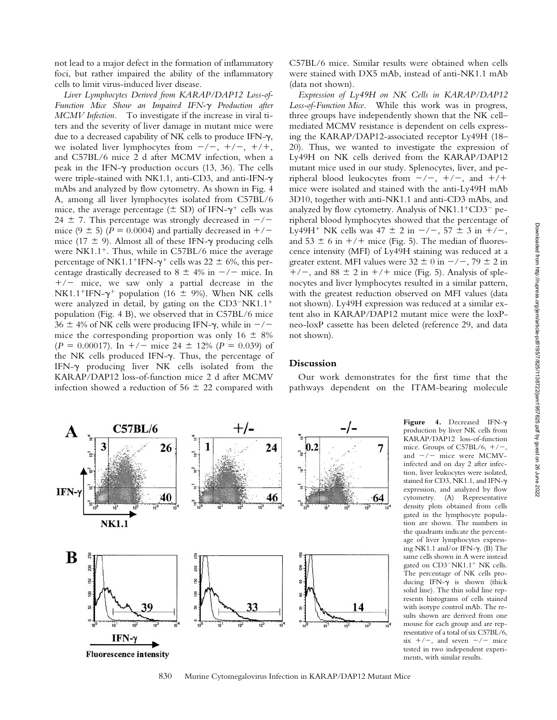not lead to a major defect in the formation of inflammatory foci, but rather impaired the ability of the inflammatory cells to limit virus-induced liver disease.

*Liver Lymphocytes Derived from KARAP/DAP12 Loss-of-*Function Mice Show an Impaired IFN- $\gamma$  Production after *MCMV Infection.* To investigate if the increase in viral titers and the severity of liver damage in mutant mice were due to a decreased capability of NK cells to produce IFN- $\gamma$ , we isolated liver lymphocytes from  $-/-$ ,  $+/-$ ,  $+/+$ , and C57BL/6 mice 2 d after MCMV infection, when a peak in the IFN- $\gamma$  production occurs (13, 36). The cells were triple-stained with NK1.1, anti-CD3, and anti-IFN- mAbs and analyzed by flow cytometry. As shown in Fig. 4 A, among all liver lymphocytes isolated from C57BL/6 mice, the average percentage ( $\pm$  SD) of IFN- $\gamma^{+}$  cells was 24  $\pm$  7. This percentage was strongly decreased in  $-\prime$ mice (9  $\pm$  5) (*P* = 0.0004) and partially decreased in  $+/$ mice (17  $\pm$  9). Almost all of these IFN- $\gamma$  producing cells were  $N<sub>K1.1</sub><sup>+</sup>$ . Thus, while in C57BL/6 mice the average percentage of NK1.1<sup>+</sup>IFN- $\gamma^+$  cells was 22  $\pm$  6%, this percentage drastically decreased to  $8 \pm 4\%$  in  $-/-$  mice. In  $+/-$  mice, we saw only a partial decrease in the NK1.1<sup>+</sup>IFN- $\gamma$ <sup>+</sup> population (16  $\pm$  9%). When NK cells were analyzed in detail, by gating on the  $CD3-NK1.1^+$ population (Fig. 4 B), we observed that in C57BL/6 mice  $36 \pm 4\%$  of NK cells were producing IFN- $\gamma$ , while in  $-/$ mice the corresponding proportion was only  $16 \pm 8\%$  $(P = 0.00017)$ . In  $+/-$  mice 24  $\pm$  12% ( $P = 0.039$ ) of the NK cells produced IFN- $\gamma$ . Thus, the percentage of IFN- $\gamma$  producing liver NK cells isolated from the KARAP/DAP12 loss-of-function mice 2 d after MCMV infection showed a reduction of  $56 \pm 22$  compared with

C57BL/6 mice. Similar results were obtained when cells were stained with DX5 mAb, instead of anti-NK1.1 mAb (data not shown).

*Expression of Ly49H on NK Cells in KARAP/DAP12 Loss-of-Function Mice.* While this work was in progress, three groups have independently shown that the NK cell– mediated MCMV resistance is dependent on cells expressing the KARAP/DAP12-associated receptor Ly49H (18– 20). Thus, we wanted to investigate the expression of Ly49H on NK cells derived from the KARAP/DAP12 mutant mice used in our study. Splenocytes, liver, and peripheral blood leukocytes from  $-/-$ ,  $+/-$ , and  $+/+$ mice were isolated and stained with the anti-Ly49H mAb 3D10, together with anti-NK1.1 and anti-CD3 mAbs, and analyzed by flow cytometry. Analysis of  $N<sub>K1.1</sub><sup>+</sup>CD<sub>3</sub><sup>-</sup>$  peripheral blood lymphocytes showed that the percentage of Ly49H<sup>+</sup> NK cells was  $47 \pm 2$  in  $-/-$ ,  $57 \pm 3$  in  $+/-$ , and  $53 \pm 6$  in  $+/+$  mice (Fig. 5). The median of fluorescence intensity (MFI) of Ly49H staining was reduced at a greater extent. MFI values were  $32 \pm 0$  in  $-/-$ , 79  $\pm 2$  in  $+/-$ , and 88  $\pm$  2 in  $+/-$  mice (Fig. 5). Analysis of splenocytes and liver lymphocytes resulted in a similar pattern, with the greatest reduction observed on MFI values (data not shown). Ly49H expression was reduced at a similar extent also in KARAP/DAP12 mutant mice were the loxPneo-loxP cassette has been deleted (reference 29, and data not shown).

### **Discussion**

Our work demonstrates for the first time that the pathways dependent on the ITAM-bearing molecule

Figure 4. Decreased IFN- $\gamma$ 

stained for CD3, NK1.1, and IFN- $\gamma$ 

ing NK1.1 and/or IFN- $\gamma$ . (B) The

ducing IFN- $\gamma$  is shown (thick



830 Murine Cytomegalovirus Infection in KARAP/DAP12 Mutant Mice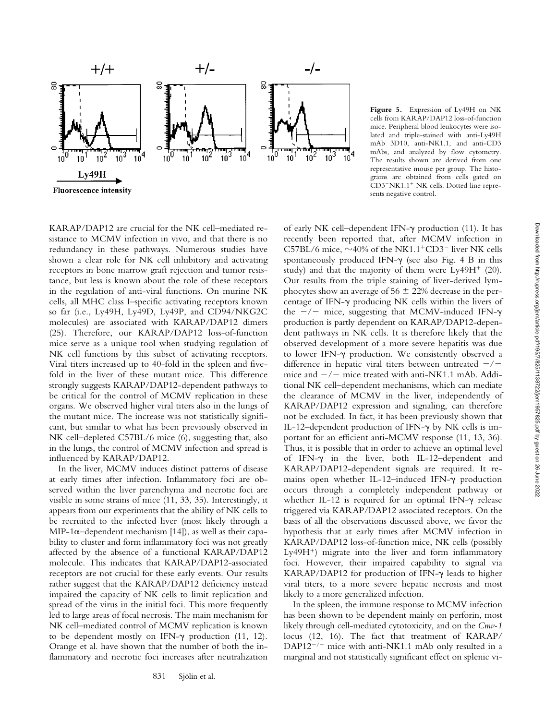

**Figure 5.** Expression of Ly49H on NK cells from KARAP/DAP12 loss-of-function mice. Peripheral blood leukocytes were isolated and triple-stained with anti-Ly49H mAb 3D10, anti-NK1.1, and anti-CD3 mAbs, and analyzed by flow cytometry. The results shown are derived from one representative mouse per group. The histograms are obtained from cells gated on CD3<sup>-</sup>NK1.1<sup>+</sup> NK cells. Dotted line represents negative control.

KARAP/DAP12 are crucial for the NK cell–mediated resistance to MCMV infection in vivo, and that there is no redundancy in these pathways. Numerous studies have shown a clear role for NK cell inhibitory and activating receptors in bone marrow graft rejection and tumor resistance, but less is known about the role of these receptors in the regulation of anti-viral functions. On murine NK cells, all MHC class I–specific activating receptors known so far (i.e., Ly49H, Ly49D, Ly49P, and CD94/NKG2C molecules) are associated with KARAP/DAP12 dimers (25). Therefore, our KARAP/DAP12 loss-of-function mice serve as a unique tool when studying regulation of NK cell functions by this subset of activating receptors. Viral titers increased up to 40-fold in the spleen and fivefold in the liver of these mutant mice. This difference strongly suggests KARAP/DAP12-dependent pathways to be critical for the control of MCMV replication in these organs. We observed higher viral titers also in the lungs of the mutant mice. The increase was not statistically significant, but similar to what has been previously observed in NK cell–depleted C57BL/6 mice (6), suggesting that, also in the lungs, the control of MCMV infection and spread is influenced by KARAP/DAP12.

In the liver, MCMV induces distinct patterns of disease at early times after infection. Inflammatory foci are observed within the liver parenchyma and necrotic foci are visible in some strains of mice (11, 33, 35). Interestingly, it appears from our experiments that the ability of NK cells to be recruited to the infected liver (most likely through a MIP-1 $\alpha$ -dependent mechanism [14]), as well as their capability to cluster and form inflammatory foci was not greatly affected by the absence of a functional KARAP/DAP12 molecule. This indicates that KARAP/DAP12-associated receptors are not crucial for these early events. Our results rather suggest that the KARAP/DAP12 deficiency instead impaired the capacity of NK cells to limit replication and spread of the virus in the initial foci. This more frequently led to large areas of focal necrosis. The main mechanism for NK cell–mediated control of MCMV replication is known to be dependent mostly on IFN- $\gamma$  production (11, 12). Orange et al. have shown that the number of both the inflammatory and necrotic foci increases after neutralization

of early NK cell-dependent IFN- $\gamma$  production (11). It has recently been reported that, after MCMV infection in C57BL/6 mice,  $\sim$ 40% of the NK1.1<sup>+</sup>CD3<sup>-</sup> liver NK cells spontaneously produced IFN- $\gamma$  (see also Fig. 4 B in this study) and that the majority of them were  $Ly49H<sup>+</sup>$  (20). Our results from the triple staining of liver-derived lymphocytes show an average of  $56 \pm 22\%$  decrease in the percentage of IFN- $\gamma$  producing NK cells within the livers of the  $-/-$  mice, suggesting that MCMV-induced IFN- $\gamma$ production is partly dependent on KARAP/DAP12-dependent pathways in NK cells. It is therefore likely that the observed development of a more severe hepatitis was due to lower IFN- $\gamma$  production. We consistently observed a difference in hepatic viral titers between untreated  $-/$ mice and  $-/-$  mice treated with anti-NK1.1 mAb. Additional NK cell–dependent mechanisms, which can mediate the clearance of MCMV in the liver, independently of KARAP/DAP12 expression and signaling, can therefore not be excluded. In fact, it has been previously shown that IL-12-dependent production of IFN- $\gamma$  by NK cells is important for an efficient anti-MCMV response (11, 13, 36). Thus, it is possible that in order to achieve an optimal level of IFN- $\gamma$  in the liver, both IL-12-dependent and KARAP/DAP12-dependent signals are required. It remains open whether IL-12-induced IFN-y production occurs through a completely independent pathway or whether IL-12 is required for an optimal IFN- $\gamma$  release triggered via KARAP/DAP12 associated receptors. On the basis of all the observations discussed above, we favor the hypothesis that at early times after MCMV infection in KARAP/DAP12 loss-of-function mice, NK cells (possibly Ly49H) migrate into the liver and form inflammatory foci. However, their impaired capability to signal via KARAP/DAP12 for production of IFN- $\gamma$  leads to higher viral titers, to a more severe hepatic necrosis and most likely to a more generalized infection.

In the spleen, the immune response to MCMV infection has been shown to be dependent mainly on perforin, most likely through cell-mediated cytotoxicity, and on the *Cmv-1* locus (12, 16). The fact that treatment of KARAP/  $DAP12^{-/-}$  mice with anti-NK1.1 mAb only resulted in a marginal and not statistically significant effect on splenic vi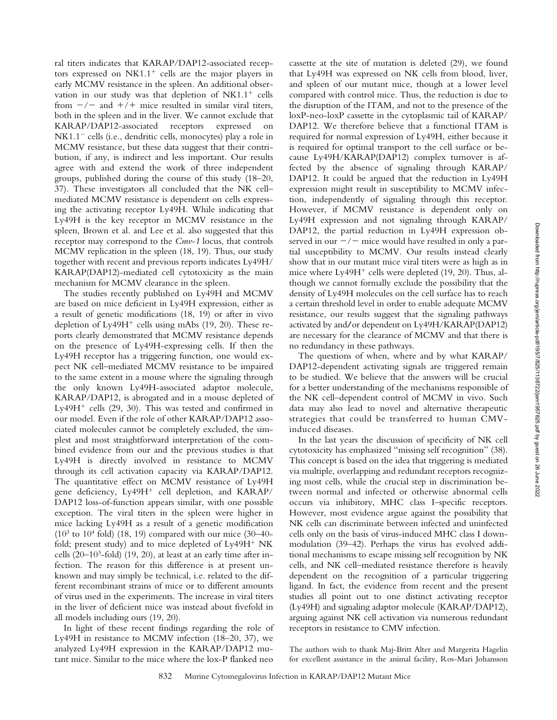ral titers indicates that KARAP/DAP12-associated receptors expressed on  $N<sub>K1.1</sub><sup>+</sup>$  cells are the major players in early MCMV resistance in the spleen. An additional observation in our study was that depletion of  $N<sub>K1.1</sub>$  cells from  $-\prime$  and  $+$ / + mice resulted in similar viral titers, both in the spleen and in the liver. We cannot exclude that KARAP/DAP12-associated receptors expressed on  $NK1.1<sup>-</sup>$  cells (i.e., dendritic cells, monocytes) play a role in MCMV resistance, but these data suggest that their contribution, if any, is indirect and less important. Our results agree with and extend the work of three independent groups, published during the course of this study (18–20, 37). These investigators all concluded that the NK cell– mediated MCMV resistance is dependent on cells expressing the activating receptor Ly49H. While indicating that Ly49H is the key receptor in MCMV resistance in the spleen, Brown et al. and Lee et al. also suggested that this receptor may correspond to the *Cmv-1* locus, that controls MCMV replication in the spleen (18, 19). Thus, our study together with recent and previous reports indicates Ly49H/ KARAP(DAP12)-mediated cell cytotoxicity as the main mechanism for MCMV clearance in the spleen.

The studies recently published on Ly49H and MCMV are based on mice deficient in Ly49H expression, either as a result of genetic modifications (18, 19) or after in vivo depletion of Ly49H<sup>+</sup> cells using mAbs (19, 20). These reports clearly demonstrated that MCMV resistance depends on the presence of Ly49H-expressing cells. If then the Ly49H receptor has a triggering function, one would expect NK cell–mediated MCMV resistance to be impaired to the same extent in a mouse where the signaling through the only known Ly49H-associated adaptor molecule, KARAP/DAP12, is abrogated and in a mouse depleted of Ly49H $^+$  cells (29, 30). This was tested and confirmed in our model. Even if the role of other KARAP/DAP12 associated molecules cannot be completely excluded, the simplest and most straightforward interpretation of the combined evidence from our and the previous studies is that Ly49H is directly involved in resistance to MCMV through its cell activation capacity via KARAP/DAP12. The quantitative effect on MCMV resistance of Ly49H gene deficiency,  $Ly49H<sup>+</sup>$  cell depletion, and  $KARAP/$ DAP12 loss-of-function appears similar, with one possible exception. The viral titers in the spleen were higher in mice lacking Ly49H as a result of a genetic modification  $(10^3 \text{ to } 10^4 \text{ fold})$   $(18, 19)$  compared with our mice  $(30-40$ fold; present study) and to mice depleted of  $Ly49H<sup>+</sup> N<sub>K</sub>$ cells  $(20-10^3$ -fold)  $(19, 20)$ , at least at an early time after infection. The reason for this difference is at present unknown and may simply be technical, i.e. related to the different recombinant strains of mice or to different amounts of virus used in the experiments. The increase in viral titers in the liver of deficient mice was instead about fivefold in all models including ours (19, 20).

In light of these recent findings regarding the role of Ly49H in resistance to MCMV infection (18–20, 37), we analyzed Ly49H expression in the KARAP/DAP12 mutant mice. Similar to the mice where the lox-P flanked neo

cassette at the site of mutation is deleted (29), we found that Ly49H was expressed on NK cells from blood, liver, and spleen of our mutant mice, though at a lower level compared with control mice. Thus, the reduction is due to the disruption of the ITAM, and not to the presence of the loxP-neo-loxP cassette in the cytoplasmic tail of KARAP/ DAP12. We therefore believe that a functional ITAM is required for normal expression of Ly49H, either because it is required for optimal transport to the cell surface or because Ly49H/KARAP(DAP12) complex turnover is affected by the absence of signaling through KARAP/ DAP12. It could be argued that the reduction in Ly49H expression might result in susceptibility to MCMV infection, independently of signaling through this receptor. However, if MCMV resistance is dependent only on Ly49H expression and not signaling through KARAP/ DAP12, the partial reduction in Ly49H expression observed in our  $-\prime$  mice would have resulted in only a partial susceptibility to MCMV. Our results instead clearly show that in our mutant mice viral titers were as high as in mice where  $Ly49H<sup>+</sup>$  cells were depleted (19, 20). Thus, although we cannot formally exclude the possibility that the density of Ly49H molecules on the cell surface has to reach a certain threshold level in order to enable adequate MCMV resistance, our results suggest that the signaling pathways activated by and**/**or dependent on Ly49H/KARAP(DAP12) are necessary for the clearance of MCMV and that there is no redundancy in these pathways.

The questions of when, where and by what KARAP/ DAP12-dependent activating signals are triggered remain to be studied. We believe that the answers will be crucial for a better understanding of the mechanisms responsible of the NK cell–dependent control of MCMV in vivo. Such data may also lead to novel and alternative therapeutic strategies that could be transferred to human CMVinduced diseases.

In the last years the discussion of specificity of NK cell cytotoxicity has emphasized "missing self recognition" (38). This concept is based on the idea that triggering is mediated via multiple, overlapping and redundant receptors recognizing most cells, while the crucial step in discrimination between normal and infected or otherwise abnormal cells occurs via inhibitory, MHC class I–specific receptors. However, most evidence argue against the possibility that NK cells can discriminate between infected and uninfected cells only on the basis of virus-induced MHC class I downmodulation (39–42). Perhaps the virus has evolved additional mechanisms to escape missing self recognition by NK cells, and NK cell–mediated resistance therefore is heavily dependent on the recognition of a particular triggering ligand. In fact, the evidence from recent and the present studies all point out to one distinct activating receptor (Ly49H) and signaling adaptor molecule (KARAP/DAP12), arguing against NK cell activation via numerous redundant receptors in resistance to CMV infection.

The authors wish to thank Maj-Britt Alter and Margerita Hagelin for excellent assistance in the animal facility, Ros-Mari Johansson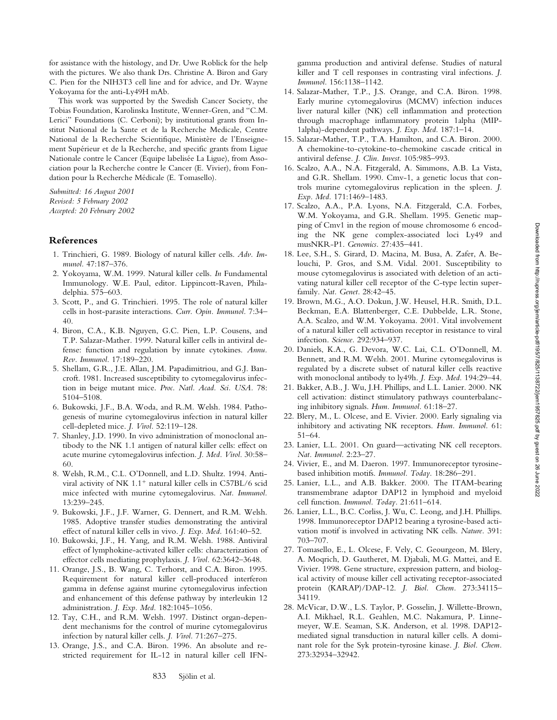for assistance with the histology, and Dr. Uwe Roblick for the help with the pictures. We also thank Drs. Christine A. Biron and Gary C. Pien for the NIH3T3 cell line and for advice, and Dr. Wayne Yokoyama for the anti-Ly49H mAb.

This work was supported by the Swedish Cancer Society, the Tobias Foundation, Karolinska Institute, Wenner-Gren, and "C.M. Lerici" Foundations (C. Cerboni); by institutional grants from Institut National de la Sante et de la Recherche Medicale, Centre National de la Recherche Scientifique, Ministère de l'Enseignement Supérieur et de la Recherche, and specific grants from Ligue Nationale contre le Cancer (Equipe labelisée La Ligue), from Association pour la Recherche contre le Cancer (E. Vivier), from Fondation pour la Recherche Médicale (E. Tomasello).

*Submitted: 16 August 2001 Revised: 5 February 2002 Accepted: 20 February 2002*

# **References**

- 1. Trinchieri, G. 1989. Biology of natural killer cells. *Adv. Immunol.* 47:187–376.
- 2. Yokoyama, W.M. 1999. Natural killer cells. *In* Fundamental Immunology. W.E. Paul, editor. Lippincott-Raven, Philadelphia. 575–603.
- 3. Scott, P., and G. Trinchieri. 1995. The role of natural killer cells in host-parasite interactions. *Curr. Opin. Immunol.* 7:34– 40.
- 4. Biron, C.A., K.B. Nguyen, G.C. Pien, L.P. Cousens, and T.P. Salazar-Mather. 1999. Natural killer cells in antiviral defense: function and regulation by innate cytokines. *Annu. Rev. Immunol.* 17:189–220.
- 5. Shellam, G.R., J.E. Allan, J.M. Papadimitriou, and G.J. Bancroft. 1981. Increased susceptibility to cytomegalovirus infection in beige mutant mice. *Proc. Natl. Acad. Sci. USA.* 78: 5104–5108.
- 6. Bukowski, J.F., B.A. Woda, and R.M. Welsh. 1984. Pathogenesis of murine cytomegalovirus infection in natural killer cell-depleted mice. *J. Virol.* 52:119–128.
- 7. Shanley, J.D. 1990. In vivo administration of monoclonal antibody to the NK 1.1 antigen of natural killer cells: effect on acute murine cytomegalovirus infection. *J. Med. Virol.* 30:58– 60.
- 8. Welsh, R.M., C.L. O'Donnell, and L.D. Shultz. 1994. Antiviral activity of NK  $1.1<sup>+</sup>$  natural killer cells in C57BL/6 scid mice infected with murine cytomegalovirus. *Nat. Immunol.* 13:239–245.
- 9. Bukowski, J.F., J.F. Warner, G. Dennert, and R.M. Welsh. 1985. Adoptive transfer studies demonstrating the antiviral effect of natural killer cells in vivo. *J. Exp. Med.* 161:40–52.
- 10. Bukowski, J.F., H. Yang, and R.M. Welsh. 1988. Antiviral effect of lymphokine-activated killer cells: characterization of effector cells mediating prophylaxis. *J. Virol.* 62:3642–3648.
- 11. Orange, J.S., B. Wang, C. Terhorst, and C.A. Biron. 1995. Requirement for natural killer cell-produced interferon gamma in defense against murine cytomegalovirus infection and enhancement of this defense pathway by interleukin 12 administration. *J. Exp. Med.* 182:1045–1056.
- 12. Tay, C.H., and R.M. Welsh. 1997. Distinct organ-dependent mechanisms for the control of murine cytomegalovirus infection by natural killer cells. *J. Virol.* 71:267–275.
- 13. Orange, J.S., and C.A. Biron. 1996. An absolute and restricted requirement for IL-12 in natural killer cell IFN-

gamma production and antiviral defense. Studies of natural killer and T cell responses in contrasting viral infections. *J. Immunol.* 156:1138–1142.

- 14. Salazar-Mather, T.P., J.S. Orange, and C.A. Biron. 1998. Early murine cytomegalovirus (MCMV) infection induces liver natural killer (NK) cell inflammation and protection through macrophage inflammatory protein 1alpha (MIP-1alpha)-dependent pathways. *J. Exp. Med.* 187:1–14.
- 15. Salazar-Mather, T.P., T.A. Hamilton, and C.A. Biron. 2000. A chemokine-to-cytokine-to-chemokine cascade critical in antiviral defense. *J. Clin. Invest.* 105:985–993.
- 16. Scalzo, A.A., N.A. Fitzgerald, A. Simmons, A.B. La Vista, and G.R. Shellam. 1990. Cmv-1, a genetic locus that controls murine cytomegalovirus replication in the spleen. *J. Exp. Med.* 171:1469–1483.
- 17. Scalzo, A.A., P.A. Lyons, N.A. Fitzgerald, C.A. Forbes, W.M. Yokoyama, and G.R. Shellam. 1995. Genetic mapping of Cmv1 in the region of mouse chromosome 6 encoding the NK gene complex-associated loci Ly49 and musNKR-P1. *Genomics.* 27:435–441.
- 18. Lee, S.H., S. Girard, D. Macina, M. Busa, A. Zafer, A. Belouchi, P. Gros, and S.M. Vidal. 2001. Susceptibility to mouse cytomegalovirus is associated with deletion of an activating natural killer cell receptor of the C-type lectin superfamily. *Nat. Genet.* 28:42–45.
- 19. Brown, M.G., A.O. Dokun, J.W. Heusel, H.R. Smith, D.L. Beckman, E.A. Blattenberger, C.E. Dubbelde, L.R. Stone, A.A. Scalzo, and W.M. Yokoyama. 2001. Vital involvement of a natural killer cell activation receptor in resistance to viral infection. *Science.* 292:934–937.
- 20. Daniels, K.A., G. Devora, W.C. Lai, C.L. O'Donnell, M. Bennett, and R.M. Welsh. 2001. Murine cytomegalovirus is regulated by a discrete subset of natural killer cells reactive with monoclonal antibody to ly49h. *J. Exp. Med.* 194:29–44.
- 21. Bakker, A.B., J. Wu, J.H. Phillips, and L.L. Lanier. 2000. NK cell activation: distinct stimulatory pathways counterbalancing inhibitory signals. *Hum. Immunol.* 61:18–27.
- 22. Blery, M., L. Olcese, and E. Vivier. 2000. Early signaling via inhibitory and activating NK receptors. *Hum. Immunol.* 61: 51–64.
- 23. Lanier, L.L. 2001. On guard—activating NK cell receptors. *Nat. Immunol.* 2:23–27.
- 24. Vivier, E., and M. Daeron. 1997. Immunoreceptor tyrosinebased inhibition motifs. *Immunol. Today.* 18:286–291.
- 25. Lanier, L.L., and A.B. Bakker. 2000. The ITAM-bearing transmembrane adaptor DAP12 in lymphoid and myeloid cell function. *Immunol. Today.* 21:611–614.
- 26. Lanier, L.L., B.C. Corliss, J. Wu, C. Leong, and J.H. Phillips. 1998. Immunoreceptor DAP12 bearing a tyrosine-based activation motif is involved in activating NK cells. *Nature.* 391: 703–707.
- 27. Tomasello, E., L. Olcese, F. Vely, C. Geourgeon, M. Blery, A. Moqrich, D. Gautheret, M. Djabali, M.G. Mattei, and E. Vivier. 1998. Gene structure, expression pattern, and biological activity of mouse killer cell activating receptor-associated protein (KARAP)/DAP-12. *J. Biol. Chem.* 273:34115– 34119.
- 28. McVicar, D.W., L.S. Taylor, P. Gosselin, J. Willette-Brown, A.I. Mikhael, R.L. Geahlen, M.C. Nakamura, P. Linnemeyer, W.E. Seaman, S.K. Anderson, et al. 1998. DAP12 mediated signal transduction in natural killer cells. A dominant role for the Syk protein-tyrosine kinase. *J. Biol. Chem.* 273:32934–32942.